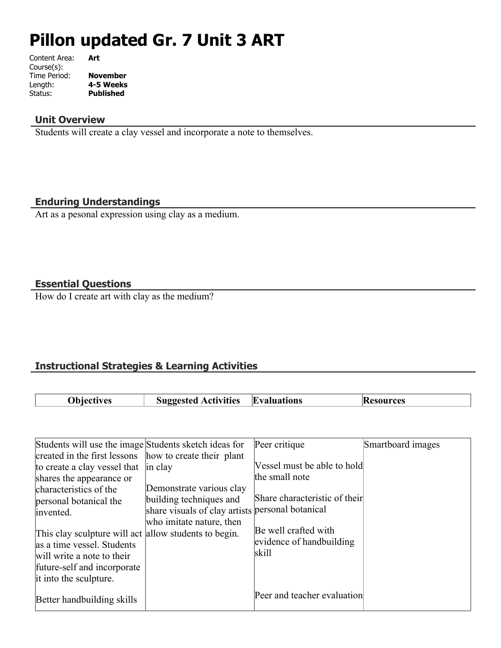# **Pillon updated Gr. 7 Unit 3 ART**

| Content Area: | Art              |
|---------------|------------------|
| Course(s):    |                  |
| Time Period:  | November         |
| Length:       | 4-5 Weeks        |
| Status:       | <b>Published</b> |
|               |                  |

## **Unit Overview**

Students will create a clay vessel and incorporate a note to themselves.

## **Enduring Understandings**

Art as a pesonal expression using clay as a medium.

## **Essential Questions**

How do I create art with clay as the medium?

## **Instructional Strategies & Learning Activities**

| <b>Objectives</b>                                                                                                                                                                                                                                                                                                                       | <b>Suggested Activities</b>                                                                                                                                                 | <b>Evaluations</b>                                                                                                                          | <b>Resources</b>  |
|-----------------------------------------------------------------------------------------------------------------------------------------------------------------------------------------------------------------------------------------------------------------------------------------------------------------------------------------|-----------------------------------------------------------------------------------------------------------------------------------------------------------------------------|---------------------------------------------------------------------------------------------------------------------------------------------|-------------------|
| Students will use the image Students sketch ideas for                                                                                                                                                                                                                                                                                   |                                                                                                                                                                             | Peer critique                                                                                                                               | Smartboard images |
| created in the first lessons<br>to create a clay vessel that<br>shares the appearance or<br>characteristics of the<br>personal botanical the<br>invented.<br>This clay sculpture will act allow students to begin.<br>as a time vessel. Students<br>will write a note to their<br>future-self and incorporate<br>it into the sculpture. | how to create their plant<br>in clay<br>Demonstrate various clay<br>building techniques and<br>share visuals of clay artists personal botanical<br>who imitate nature, then | Vessel must be able to hold<br>the small note<br>Share characteristic of their<br>Be well crafted with<br>evidence of handbuilding<br>skill |                   |
| Better handbuilding skills                                                                                                                                                                                                                                                                                                              |                                                                                                                                                                             | Peer and teacher evaluation                                                                                                                 |                   |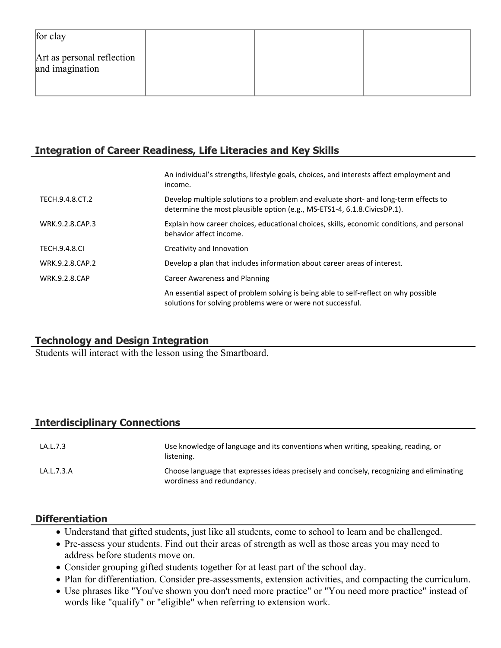| for clay                                      |  |  |
|-----------------------------------------------|--|--|
| Art as personal reflection<br>and imagination |  |  |

## **Integration of Career Readiness, Life Literacies and Key Skills**

|                      | An individual's strengths, lifestyle goals, choices, and interests affect employment and<br>income.                                                                |
|----------------------|--------------------------------------------------------------------------------------------------------------------------------------------------------------------|
| TECH.9.4.8.CT.2      | Develop multiple solutions to a problem and evaluate short- and long-term effects to<br>determine the most plausible option (e.g., MS-ETS1-4, 6.1.8. Civics DP.1). |
| WRK.9.2.8.CAP.3      | Explain how career choices, educational choices, skills, economic conditions, and personal<br>behavior affect income.                                              |
| <b>TECH.9.4.8.CI</b> | Creativity and Innovation                                                                                                                                          |
| WRK.9.2.8.CAP.2      | Develop a plan that includes information about career areas of interest.                                                                                           |
| <b>WRK.9.2.8.CAP</b> | Career Awareness and Planning                                                                                                                                      |
|                      | An essential aspect of problem solving is being able to self-reflect on why possible<br>solutions for solving problems were or were not successful.                |

## **Technology and Design Integration**

Students will interact with the lesson using the Smartboard.

## **Interdisciplinary Connections**

| LA.L.7.3   | Use knowledge of language and its conventions when writing, speaking, reading, or<br>listening.                        |
|------------|------------------------------------------------------------------------------------------------------------------------|
| LA.L.7.3.A | Choose language that expresses ideas precisely and concisely, recognizing and eliminating<br>wordiness and redundancy. |

## **Differentiation**

- Understand that gifted students, just like all students, come to school to learn and be challenged.
- Pre-assess your students. Find out their areas of strength as well as those areas you may need to address before students move on.
- Consider grouping gifted students together for at least part of the school day.
- Plan for differentiation. Consider pre-assessments, extension activities, and compacting the curriculum.
- Use phrases like "You've shown you don't need more practice" or "You need more practice" instead of words like "qualify" or "eligible" when referring to extension work.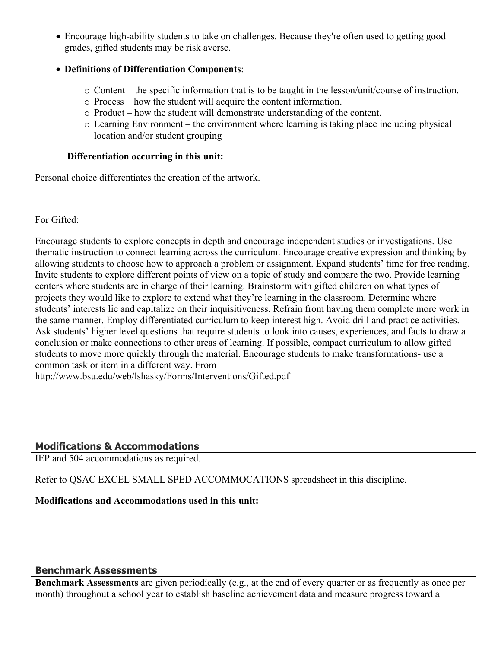Encourage high-ability students to take on challenges. Because they're often used to getting good grades, gifted students may be risk averse.

## **Definitions of Differentiation Components**:

- o Content the specific information that is to be taught in the lesson/unit/course of instruction.
- o Process how the student will acquire the content information.
- o Product how the student will demonstrate understanding of the content.
- o Learning Environment the environment where learning is taking place including physical location and/or student grouping

## **Differentiation occurring in this unit:**

Personal choice differentiates the creation of the artwork.

For Gifted:

Encourage students to explore concepts in depth and encourage independent studies or investigations. Use thematic instruction to connect learning across the curriculum. Encourage creative expression and thinking by allowing students to choose how to approach a problem or assignment. Expand students' time for free reading. Invite students to explore different points of view on a topic of study and compare the two. Provide learning centers where students are in charge of their learning. Brainstorm with gifted children on what types of projects they would like to explore to extend what they're learning in the classroom. Determine where students' interests lie and capitalize on their inquisitiveness. Refrain from having them complete more work in the same manner. Employ differentiated curriculum to keep interest high. Avoid drill and practice activities. Ask students' higher level questions that require students to look into causes, experiences, and facts to draw a conclusion or make connections to other areas of learning. If possible, compact curriculum to allow gifted students to move more quickly through the material. Encourage students to make transformations- use a common task or item in a different way. From

http://www.bsu.edu/web/lshasky/Forms/Interventions/Gifted.pdf

## **Modifications & Accommodations**

IEP and 504 accommodations as required.

Refer to QSAC EXCEL SMALL SPED ACCOMMOCATIONS spreadsheet in this discipline.

## **Modifications and Accommodations used in this unit:**

## **Benchmark Assessments**

**Benchmark Assessments** are given periodically (e.g., at the end of every quarter or as frequently as once per month) throughout a school year to establish baseline achievement data and measure progress toward a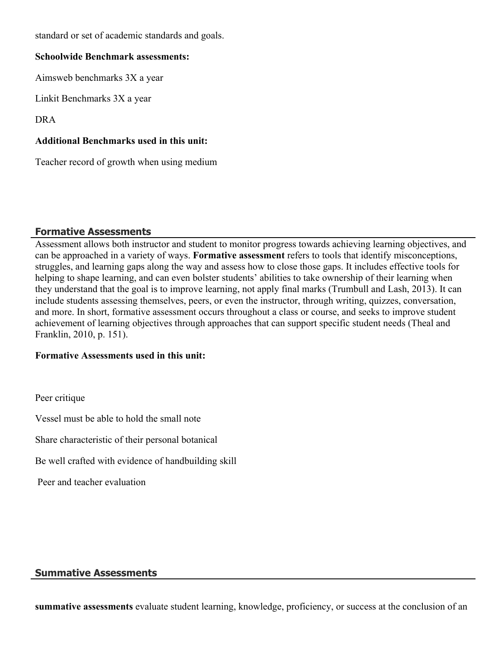standard or set of academic standards and goals.

#### **Schoolwide Benchmark assessments:**

Aimsweb benchmarks 3X a year

Linkit Benchmarks 3X a year

DRA

## **Additional Benchmarks used in this unit:**

Teacher record of growth when using medium

## **Formative Assessments**

Assessment allows both instructor and student to monitor progress towards achieving learning objectives, and can be approached in a variety of ways. **Formative assessment** refers to tools that identify misconceptions, struggles, and learning gaps along the way and assess how to close those gaps. It includes effective tools for helping to shape learning, and can even bolster students' abilities to take ownership of their learning when they understand that the goal is to improve learning, not apply final marks (Trumbull and Lash, 2013). It can include students assessing themselves, peers, or even the instructor, through writing, quizzes, conversation, and more. In short, formative assessment occurs throughout a class or course, and seeks to improve student achievement of learning objectives through approaches that can support specific student needs (Theal and Franklin, 2010, p. 151).

## **Formative Assessments used in this unit:**

Peer critique

Vessel must be able to hold the small note

Share characteristic of their personal botanical

Be well crafted with evidence of handbuilding skill

Peer and teacher evaluation

## **Summative Assessments**

**summative assessments** evaluate student learning, knowledge, proficiency, or success at the conclusion of an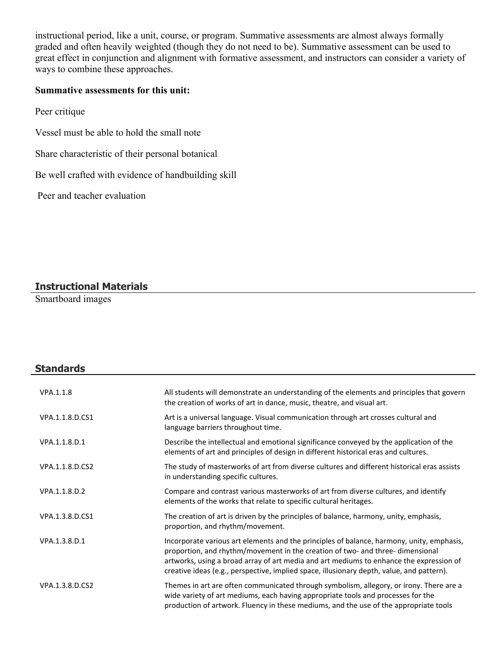instructional period, like a unit, course, or program. Summative assessments are almost always formally graded and often heavily weighted (though they do not need to be). Summative assessment can be used to great effect in conjunction and alignment with formative assessment, and instructors can consider a variety of ways to combine these approaches.

#### **Summative assessments for this unit:**

- Peer critique
- Vessel must be able to hold the small note
- Share characteristic of their personal botanical
- Be well crafted with evidence of handbuilding skill

Peer and teacher evaluation

## **Instructional Materials**

Smartboard images

**Standards**

| VPA.1.1.8       | All students will demonstrate an understanding of the elements and principles that govern<br>the creation of works of art in dance, music, theatre, and visual art.                                                                                                                                                                                                 |
|-----------------|---------------------------------------------------------------------------------------------------------------------------------------------------------------------------------------------------------------------------------------------------------------------------------------------------------------------------------------------------------------------|
| VPA.1.1.8.D.CS1 | Art is a universal language. Visual communication through art crosses cultural and<br>language barriers throughout time.                                                                                                                                                                                                                                            |
| VPA.1.1.8.D.1   | Describe the intellectual and emotional significance conveyed by the application of the<br>elements of art and principles of design in different historical eras and cultures.                                                                                                                                                                                      |
| VPA.1.1.8.D.CS2 | The study of masterworks of art from diverse cultures and different historical eras assists<br>in understanding specific cultures.                                                                                                                                                                                                                                  |
| VPA.1.1.8.D.2   | Compare and contrast various masterworks of art from diverse cultures, and identify<br>elements of the works that relate to specific cultural heritages.                                                                                                                                                                                                            |
| VPA.1.3.8.D.CS1 | The creation of art is driven by the principles of balance, harmony, unity, emphasis,<br>proportion, and rhythm/movement.                                                                                                                                                                                                                                           |
| VPA.1.3.8.D.1   | Incorporate various art elements and the principles of balance, harmony, unity, emphasis,<br>proportion, and rhythm/movement in the creation of two- and three- dimensional<br>artworks, using a broad array of art media and art mediums to enhance the expression of<br>creative ideas (e.g., perspective, implied space, illusionary depth, value, and pattern). |
| VPA.1.3.8.D.CS2 | Themes in art are often communicated through symbolism, allegory, or irony. There are a<br>wide variety of art mediums, each having appropriate tools and processes for the<br>production of artwork. Fluency in these mediums, and the use of the appropriate tools                                                                                                |